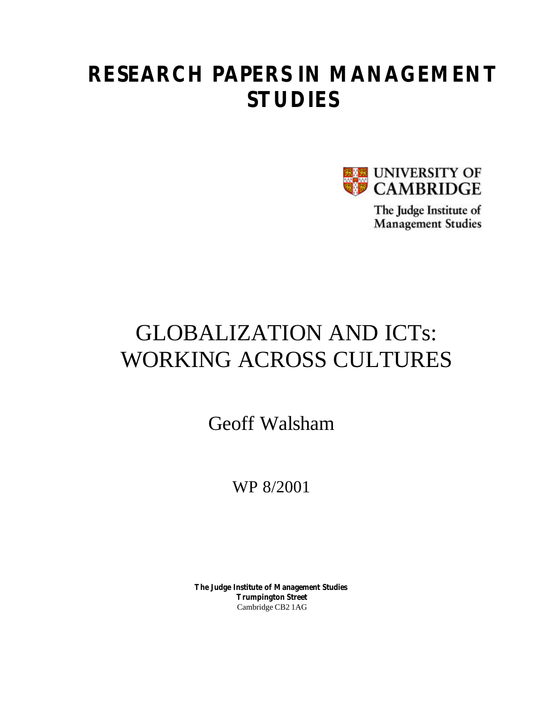# **RESEARCH PAPERS IN MANAGEMENT STUDIES**



The Judge Institute of **Management Studies** 

# GLOBALIZATION AND ICTs: WORKING ACROSS CULTURES

Geoff Walsham

WP 8/2001

**The Judge Institute of Management Studies Trumpington Street** Cambridge CB2 1AG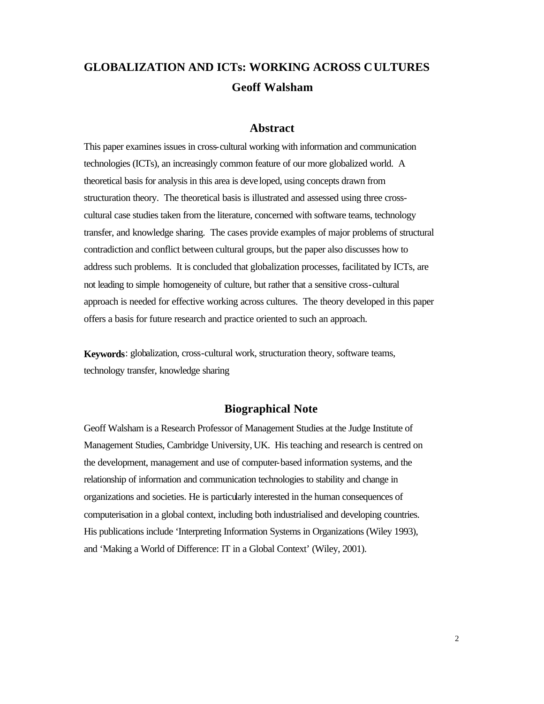# **GLOBALIZATION AND ICTs: WORKING ACROSS CULTURES Geoff Walsham**

#### **Abstract**

This paper examines issues in cross-cultural working with information and communication technologies (ICTs), an increasingly common feature of our more globalized world. A theoretical basis for analysis in this area is developed, using concepts drawn from structuration theory. The theoretical basis is illustrated and assessed using three crosscultural case studies taken from the literature, concerned with software teams, technology transfer, and knowledge sharing. The cases provide examples of major problems of structural contradiction and conflict between cultural groups, but the paper also discusses how to address such problems. It is concluded that globalization processes, facilitated by ICTs, are not leading to simple homogeneity of culture, but rather that a sensitive cross-cultural approach is needed for effective working across cultures. The theory developed in this paper offers a basis for future research and practice oriented to such an approach.

**Keywords**: globalization, cross-cultural work, structuration theory, software teams, technology transfer, knowledge sharing

## **Biographical Note**

Geoff Walsham is a Research Professor of Management Studies at the Judge Institute of Management Studies, Cambridge University, UK. His teaching and research is centred on the development, management and use of computer-based information systems, and the relationship of information and communication technologies to stability and change in organizations and societies. He is particularly interested in the human consequences of computerisation in a global context, including both industrialised and developing countries. His publications include 'Interpreting Information Systems in Organizations (Wiley 1993), and 'Making a World of Difference: IT in a Global Context' (Wiley, 2001).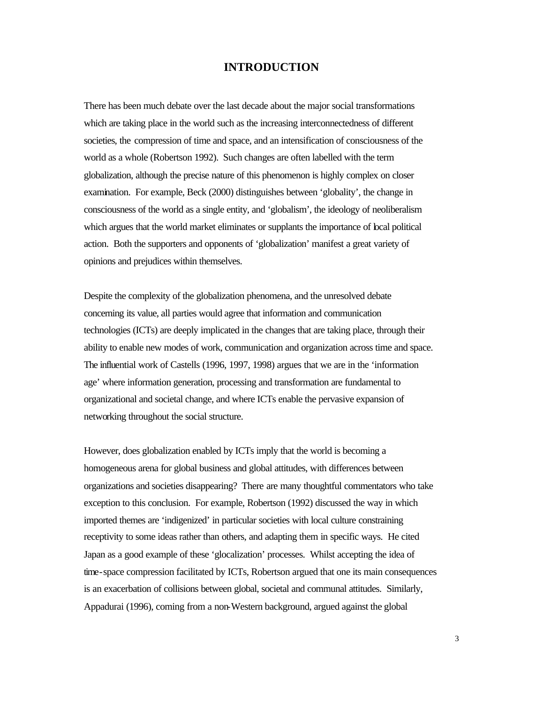## **INTRODUCTION**

There has been much debate over the last decade about the major social transformations which are taking place in the world such as the increasing interconnectedness of different societies, the compression of time and space, and an intensification of consciousness of the world as a whole (Robertson 1992). Such changes are often labelled with the term globalization, although the precise nature of this phenomenon is highly complex on closer examination. For example, Beck (2000) distinguishes between 'globality', the change in consciousness of the world as a single entity, and 'globalism', the ideology of neoliberalism which argues that the world market eliminates or supplants the importance of boal political action. Both the supporters and opponents of 'globalization' manifest a great variety of opinions and prejudices within themselves.

Despite the complexity of the globalization phenomena, and the unresolved debate concerning its value, all parties would agree that information and communication technologies (ICTs) are deeply implicated in the changes that are taking place, through their ability to enable new modes of work, communication and organization across time and space. The influential work of Castells (1996, 1997, 1998) argues that we are in the 'information age' where information generation, processing and transformation are fundamental to organizational and societal change, and where ICTs enable the pervasive expansion of networking throughout the social structure.

However, does globalization enabled by ICTs imply that the world is becoming a homogeneous arena for global business and global attitudes, with differences between organizations and societies disappearing? There are many thoughtful commentators who take exception to this conclusion. For example, Robertson (1992) discussed the way in which imported themes are 'indigenized' in particular societies with local culture constraining receptivity to some ideas rather than others, and adapting them in specific ways. He cited Japan as a good example of these 'glocalization' processes. Whilst accepting the idea of time-space compression facilitated by ICTs, Robertson argued that one its main consequences is an exacerbation of collisions between global, societal and communal attitudes. Similarly, Appadurai (1996), coming from a non-Western background, argued against the global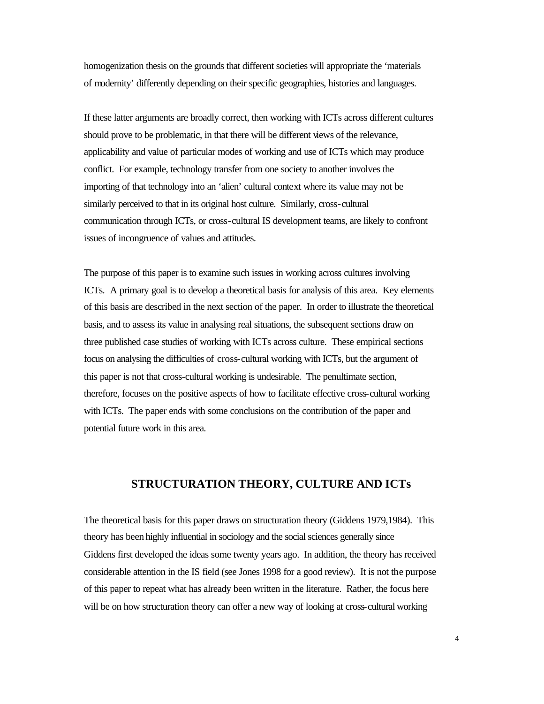homogenization thesis on the grounds that different societies will appropriate the 'materials of modernity' differently depending on their specific geographies, histories and languages.

If these latter arguments are broadly correct, then working with ICTs across different cultures should prove to be problematic, in that there will be different views of the relevance, applicability and value of particular modes of working and use of ICTs which may produce conflict. For example, technology transfer from one society to another involves the importing of that technology into an 'alien' cultural context where its value may not be similarly perceived to that in its original host culture. Similarly, cross-cultural communication through ICTs, or cross-cultural IS development teams, are likely to confront issues of incongruence of values and attitudes.

The purpose of this paper is to examine such issues in working across cultures involving ICTs. A primary goal is to develop a theoretical basis for analysis of this area. Key elements of this basis are described in the next section of the paper. In order to illustrate the theoretical basis, and to assess its value in analysing real situations, the subsequent sections draw on three published case studies of working with ICTs across culture. These empirical sections focus on analysing the difficulties of cross-cultural working with ICTs, but the argument of this paper is not that cross-cultural working is undesirable. The penultimate section, therefore, focuses on the positive aspects of how to facilitate effective cross-cultural working with ICTs. The paper ends with some conclusions on the contribution of the paper and potential future work in this area.

# **STRUCTURATION THEORY, CULTURE AND ICTs**

The theoretical basis for this paper draws on structuration theory (Giddens 1979,1984). This theory has been highly influential in sociology and the social sciences generally since Giddens first developed the ideas some twenty years ago. In addition, the theory has received considerable attention in the IS field (see Jones 1998 for a good review). It is not the purpose of this paper to repeat what has already been written in the literature. Rather, the focus here will be on how structuration theory can offer a new way of looking at cross-cultural working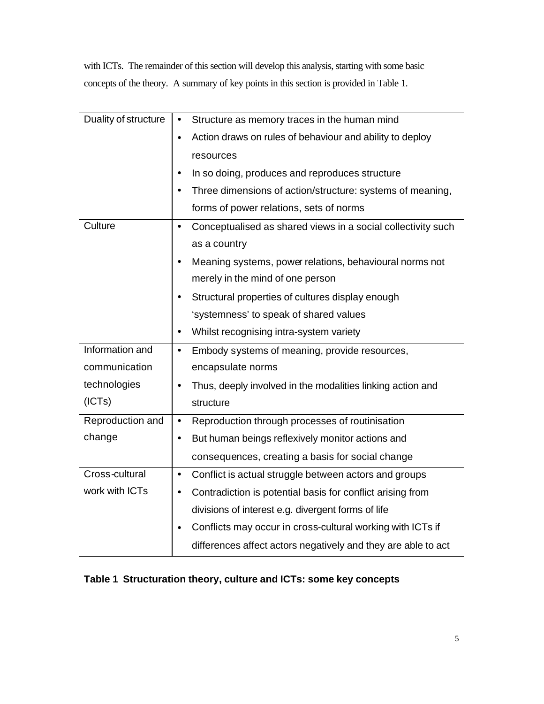with ICTs. The remainder of this section will develop this analysis, starting with some basic concepts of the theory. A summary of key points in this section is provided in Table 1.

| Duality of structure | Structure as memory traces in the human mind<br>$\bullet$                 |
|----------------------|---------------------------------------------------------------------------|
|                      | Action draws on rules of behaviour and ability to deploy<br>$\bullet$     |
|                      | resources                                                                 |
|                      | In so doing, produces and reproduces structure<br>$\bullet$               |
|                      | Three dimensions of action/structure: systems of meaning,                 |
|                      | forms of power relations, sets of norms                                   |
| Culture              | Conceptualised as shared views in a social collectivity such<br>$\bullet$ |
|                      | as a country                                                              |
|                      | Meaning systems, power relations, behavioural norms not<br>$\bullet$      |
|                      | merely in the mind of one person                                          |
|                      | Structural properties of cultures display enough                          |
|                      | 'systemness' to speak of shared values                                    |
|                      | Whilst recognising intra-system variety<br>$\bullet$                      |
| Information and      | Embody systems of meaning, provide resources,<br>$\bullet$                |
| communication        | encapsulate norms                                                         |
| technologies         | Thus, deeply involved in the modalities linking action and<br>$\bullet$   |
| (ICTs)               | structure                                                                 |
| Reproduction and     | Reproduction through processes of routinisation<br>$\bullet$              |
| change               | But human beings reflexively monitor actions and<br>$\bullet$             |
|                      | consequences, creating a basis for social change                          |
| Cross-cultural       | Conflict is actual struggle between actors and groups<br>$\bullet$        |
| work with ICTs       | Contradiction is potential basis for conflict arising from<br>$\bullet$   |
|                      | divisions of interest e.g. divergent forms of life                        |
|                      | Conflicts may occur in cross-cultural working with ICTs if<br>$\bullet$   |
|                      | differences affect actors negatively and they are able to act             |

# **Table 1 Structuration theory, culture and ICTs: some key concepts**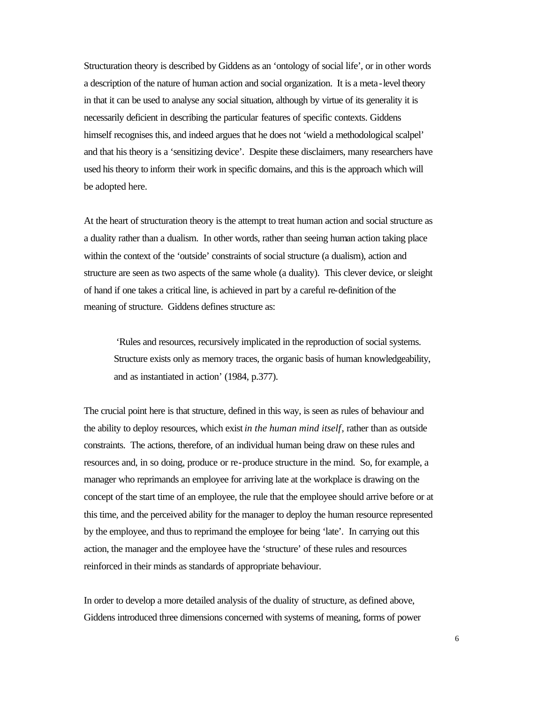Structuration theory is described by Giddens as an 'ontology of social life', or in other words a description of the nature of human action and social organization. It is a meta-level theory in that it can be used to analyse any social situation, although by virtue of its generality it is necessarily deficient in describing the particular features of specific contexts. Giddens himself recognises this, and indeed argues that he does not 'wield a methodological scalpel' and that his theory is a 'sensitizing device'. Despite these disclaimers, many researchers have used his theory to inform their work in specific domains, and this is the approach which will be adopted here.

At the heart of structuration theory is the attempt to treat human action and social structure as a duality rather than a dualism. In other words, rather than seeing human action taking place within the context of the 'outside' constraints of social structure (a dualism), action and structure are seen as two aspects of the same whole (a duality). This clever device, or sleight of hand if one takes a critical line, is achieved in part by a careful re-definition of the meaning of structure. Giddens defines structure as:

 'Rules and resources, recursively implicated in the reproduction of social systems. Structure exists only as memory traces, the organic basis of human knowledgeability, and as instantiated in action' (1984, p.377).

The crucial point here is that structure, defined in this way, is seen as rules of behaviour and the ability to deploy resources, which exist *in the human mind itself*, rather than as outside constraints. The actions, therefore, of an individual human being draw on these rules and resources and, in so doing, produce or re-produce structure in the mind. So, for example, a manager who reprimands an employee for arriving late at the workplace is drawing on the concept of the start time of an employee, the rule that the employee should arrive before or at this time, and the perceived ability for the manager to deploy the human resource represented by the employee, and thus to reprimand the employee for being 'late'. In carrying out this action, the manager and the employee have the 'structure' of these rules and resources reinforced in their minds as standards of appropriate behaviour.

In order to develop a more detailed analysis of the duality of structure, as defined above, Giddens introduced three dimensions concerned with systems of meaning, forms of power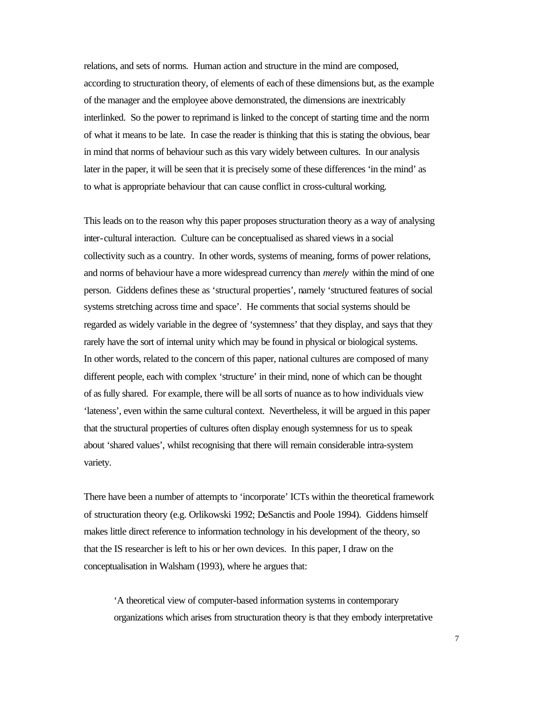relations, and sets of norms. Human action and structure in the mind are composed, according to structuration theory, of elements of each of these dimensions but, as the example of the manager and the employee above demonstrated, the dimensions are inextricably interlinked. So the power to reprimand is linked to the concept of starting time and the norm of what it means to be late. In case the reader is thinking that this is stating the obvious, bear in mind that norms of behaviour such as this vary widely between cultures. In our analysis later in the paper, it will be seen that it is precisely some of these differences 'in the mind' as to what is appropriate behaviour that can cause conflict in cross-cultural working.

This leads on to the reason why this paper proposes structuration theory as a way of analysing inter-cultural interaction. Culture can be conceptualised as shared views in a social collectivity such as a country. In other words, systems of meaning, forms of power relations, and norms of behaviour have a more widespread currency than *merely* within the mind of one person. Giddens defines these as 'structural properties', namely 'structured features of social systems stretching across time and space'. He comments that social systems should be regarded as widely variable in the degree of 'systemness' that they display, and says that they rarely have the sort of internal unity which may be found in physical or biological systems. In other words, related to the concern of this paper, national cultures are composed of many different people, each with complex 'structure' in their mind, none of which can be thought of as fully shared. For example, there will be all sorts of nuance as to how individuals view 'lateness', even within the same cultural context. Nevertheless, it will be argued in this paper that the structural properties of cultures often display enough systemness for us to speak about 'shared values', whilst recognising that there will remain considerable intra-system variety.

There have been a number of attempts to 'incorporate' ICTs within the theoretical framework of structuration theory (e.g. Orlikowski 1992; DeSanctis and Poole 1994). Giddens himself makes little direct reference to information technology in his development of the theory, so that the IS researcher is left to his or her own devices. In this paper, I draw on the conceptualisation in Walsham (1993), where he argues that:

'A theoretical view of computer-based information systems in contemporary organizations which arises from structuration theory is that they embody interpretative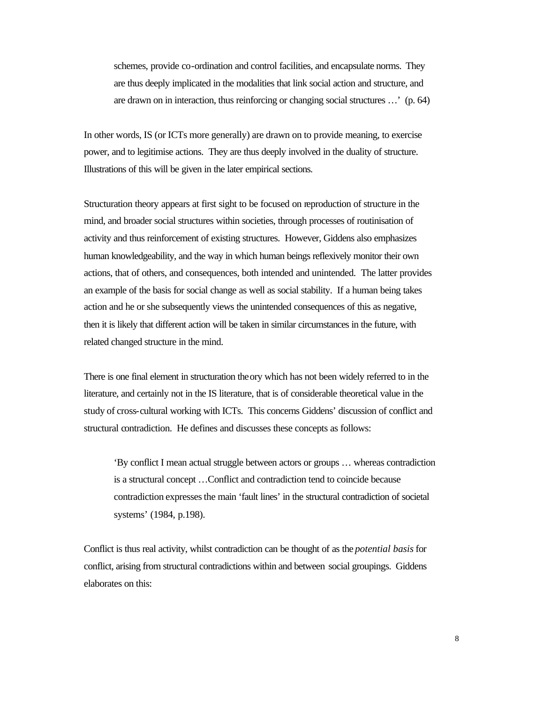schemes, provide co-ordination and control facilities, and encapsulate norms. They are thus deeply implicated in the modalities that link social action and structure, and are drawn on in interaction, thus reinforcing or changing social structures …' (p. 64)

In other words, IS (or ICTs more generally) are drawn on to provide meaning, to exercise power, and to legitimise actions. They are thus deeply involved in the duality of structure. Illustrations of this will be given in the later empirical sections.

Structuration theory appears at first sight to be focused on reproduction of structure in the mind, and broader social structures within societies, through processes of routinisation of activity and thus reinforcement of existing structures. However, Giddens also emphasizes human knowledgeability, and the way in which human beings reflexively monitor their own actions, that of others, and consequences, both intended and unintended. The latter provides an example of the basis for social change as well as social stability. If a human being takes action and he or she subsequently views the unintended consequences of this as negative, then it is likely that different action will be taken in similar circumstances in the future, with related changed structure in the mind.

There is one final element in structuration theory which has not been widely referred to in the literature, and certainly not in the IS literature, that is of considerable theoretical value in the study of cross-cultural working with ICTs. This concerns Giddens' discussion of conflict and structural contradiction. He defines and discusses these concepts as follows:

'By conflict I mean actual struggle between actors or groups … whereas contradiction is a structural concept …Conflict and contradiction tend to coincide because contradiction expresses the main 'fault lines' in the structural contradiction of societal systems' (1984, p.198).

Conflict is thus real activity, whilst contradiction can be thought of as the *potential basis* for conflict, arising from structural contradictions within and between social groupings. Giddens elaborates on this: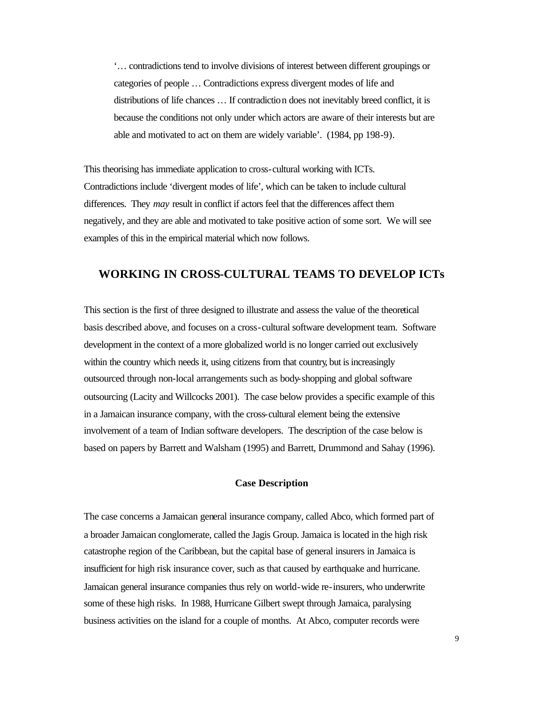'… contradictions tend to involve divisions of interest between different groupings or categories of people … Contradictions express divergent modes of life and distributions of life chances … If contradiction does not inevitably breed conflict, it is because the conditions not only under which actors are aware of their interests but are able and motivated to act on them are widely variable'. (1984, pp 198-9).

This theorising has immediate application to cross-cultural working with ICTs. Contradictions include 'divergent modes of life', which can be taken to include cultural differences. They *may* result in conflict if actors feel that the differences affect them negatively, and they are able and motivated to take positive action of some sort. We will see examples of this in the empirical material which now follows.

# **WORKING IN CROSS-CULTURAL TEAMS TO DEVELOP ICTs**

This section is the first of three designed to illustrate and assess the value of the theoretical basis described above, and focuses on a cross-cultural software development team. Software development in the context of a more globalized world is no longer carried out exclusively within the country which needs it, using citizens from that country, but is increasingly outsourced through non-local arrangements such as body-shopping and global software outsourcing (Lacity and Willcocks 2001). The case below provides a specific example of this in a Jamaican insurance company, with the cross-cultural element being the extensive involvement of a team of Indian software developers. The description of the case below is based on papers by Barrett and Walsham (1995) and Barrett, Drummond and Sahay (1996).

#### **Case Description**

The case concerns a Jamaican general insurance company, called Abco, which formed part of a broader Jamaican conglomerate, called the Jagis Group. Jamaica is located in the high risk catastrophe region of the Caribbean, but the capital base of general insurers in Jamaica is insufficient for high risk insurance cover, such as that caused by earthquake and hurricane. Jamaican general insurance companies thus rely on world-wide re-insurers, who underwrite some of these high risks. In 1988, Hurricane Gilbert swept through Jamaica, paralysing business activities on the island for a couple of months. At Abco, computer records were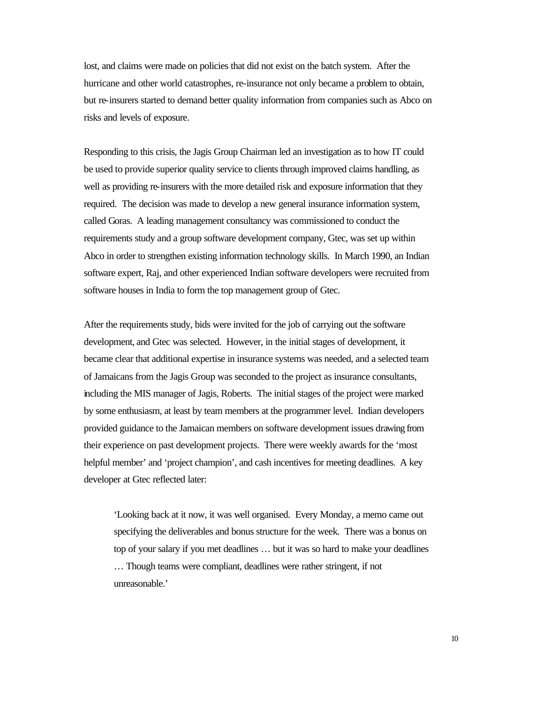lost, and claims were made on policies that did not exist on the batch system. After the hurricane and other world catastrophes, re-insurance not only became a problem to obtain, but re-insurers started to demand better quality information from companies such as Abco on risks and levels of exposure.

Responding to this crisis, the Jagis Group Chairman led an investigation as to how IT could be used to provide superior quality service to clients through improved claims handling, as well as providing re-insurers with the more detailed risk and exposure information that they required. The decision was made to develop a new general insurance information system, called Goras. A leading management consultancy was commissioned to conduct the requirements study and a group software development company, Gtec, was set up within Abco in order to strengthen existing information technology skills. In March 1990, an Indian software expert, Raj, and other experienced Indian software developers were recruited from software houses in India to form the top management group of Gtec.

After the requirements study, bids were invited for the job of carrying out the software development, and Gtec was selected. However, in the initial stages of development, it became clear that additional expertise in insurance systems was needed, and a selected team of Jamaicans from the Jagis Group was seconded to the project as insurance consultants, including the MIS manager of Jagis, Roberts. The initial stages of the project were marked by some enthusiasm, at least by team members at the programmer level. Indian developers provided guidance to the Jamaican members on software development issues drawing from their experience on past development projects. There were weekly awards for the 'most helpful member' and 'project champion', and cash incentives for meeting deadlines. A key developer at Gtec reflected later:

'Looking back at it now, it was well organised. Every Monday, a memo came out specifying the deliverables and bonus structure for the week. There was a bonus on top of your salary if you met deadlines … but it was so hard to make your deadlines … Though teams were compliant, deadlines were rather stringent, if not unreasonable.'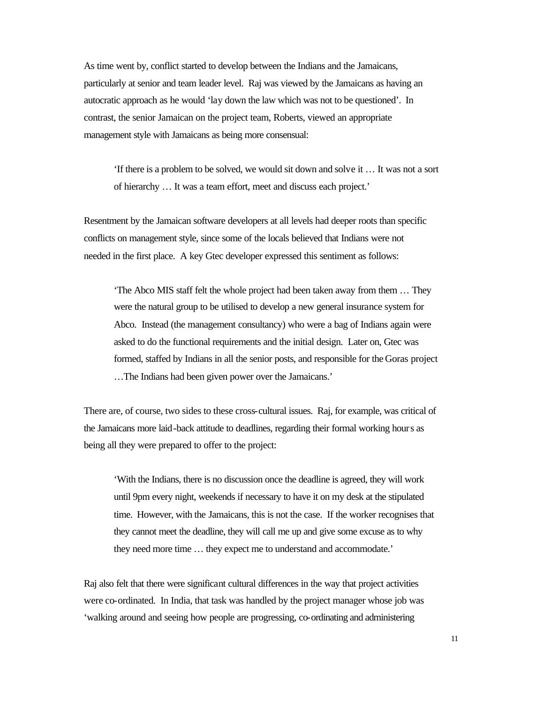As time went by, conflict started to develop between the Indians and the Jamaicans, particularly at senior and team leader level. Raj was viewed by the Jamaicans as having an autocratic approach as he would 'lay down the law which was not to be questioned'. In contrast, the senior Jamaican on the project team, Roberts, viewed an appropriate management style with Jamaicans as being more consensual:

'If there is a problem to be solved, we would sit down and solve it … It was not a sort of hierarchy … It was a team effort, meet and discuss each project.'

Resentment by the Jamaican software developers at all levels had deeper roots than specific conflicts on management style, since some of the locals believed that Indians were not needed in the first place. A key Gtec developer expressed this sentiment as follows:

'The Abco MIS staff felt the whole project had been taken away from them … They were the natural group to be utilised to develop a new general insurance system for Abco. Instead (the management consultancy) who were a bag of Indians again were asked to do the functional requirements and the initial design. Later on, Gtec was formed, staffed by Indians in all the senior posts, and responsible for the Goras project …The Indians had been given power over the Jamaicans.'

There are, of course, two sides to these cross-cultural issues. Raj, for example, was critical of the Jamaicans more laid-back attitude to deadlines, regarding their formal working hours as being all they were prepared to offer to the project:

'With the Indians, there is no discussion once the deadline is agreed, they will work until 9pm every night, weekends if necessary to have it on my desk at the stipulated time. However, with the Jamaicans, this is not the case. If the worker recognises that they cannot meet the deadline, they will call me up and give some excuse as to why they need more time … they expect me to understand and accommodate.'

Raj also felt that there were significant cultural differences in the way that project activities were co-ordinated. In India, that task was handled by the project manager whose job was 'walking around and seeing how people are progressing, co-ordinating and administering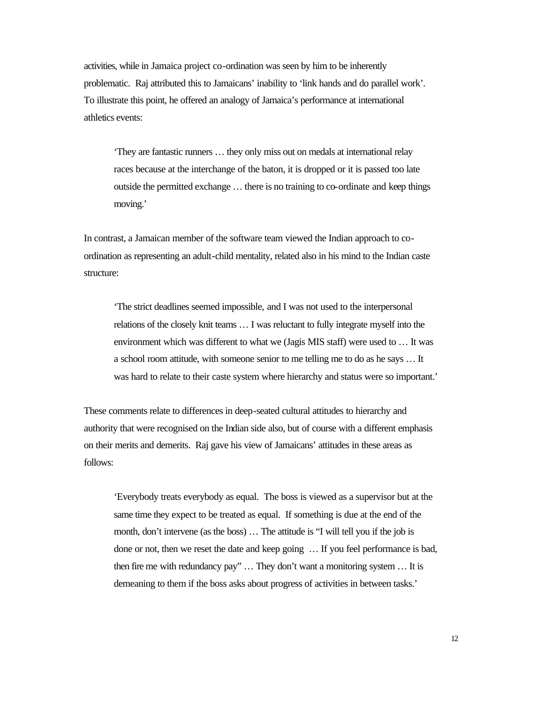activities, while in Jamaica project co-ordination was seen by him to be inherently problematic. Raj attributed this to Jamaicans' inability to 'link hands and do parallel work'. To illustrate this point, he offered an analogy of Jamaica's performance at international athletics events:

'They are fantastic runners … they only miss out on medals at international relay races because at the interchange of the baton, it is dropped or it is passed too late outside the permitted exchange … there is no training to co-ordinate and keep things moving.'

In contrast, a Jamaican member of the software team viewed the Indian approach to coordination as representing an adult-child mentality, related also in his mind to the Indian caste structure:

'The strict deadlines seemed impossible, and I was not used to the interpersonal relations of the closely knit teams … I was reluctant to fully integrate myself into the environment which was different to what we (Jagis MIS staff) were used to … It was a school room attitude, with someone senior to me telling me to do as he says … It was hard to relate to their caste system where hierarchy and status were so important.'

These comments relate to differences in deep-seated cultural attitudes to hierarchy and authority that were recognised on the Indian side also, but of course with a different emphasis on their merits and demerits. Raj gave his view of Jamaicans' attitudes in these areas as follows:

'Everybody treats everybody as equal. The boss is viewed as a supervisor but at the same time they expect to be treated as equal. If something is due at the end of the month, don't intervene (as the boss) … The attitude is "I will tell you if the job is done or not, then we reset the date and keep going … If you feel performance is bad, then fire me with redundancy pay" … They don't want a monitoring system … It is demeaning to them if the boss asks about progress of activities in between tasks.'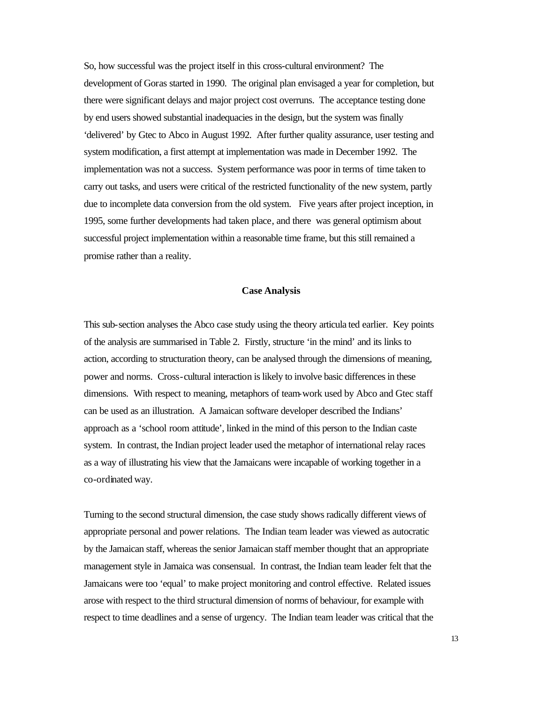So, how successful was the project itself in this cross-cultural environment? The development of Goras started in 1990. The original plan envisaged a year for completion, but there were significant delays and major project cost overruns. The acceptance testing done by end users showed substantial inadequacies in the design, but the system was finally 'delivered' by Gtec to Abco in August 1992. After further quality assurance, user testing and system modification, a first attempt at implementation was made in December 1992. The implementation was not a success. System performance was poor in terms of time taken to carry out tasks, and users were critical of the restricted functionality of the new system, partly due to incomplete data conversion from the old system. Five years after project inception, in 1995, some further developments had taken place, and there was general optimism about successful project implementation within a reasonable time frame, but this still remained a promise rather than a reality.

#### **Case Analysis**

This sub-section analyses the Abco case study using the theory articula ted earlier. Key points of the analysis are summarised in Table 2. Firstly, structure 'in the mind' and its links to action, according to structuration theory, can be analysed through the dimensions of meaning, power and norms. Cross-cultural interaction is likely to involve basic differences in these dimensions. With respect to meaning, metaphors of team-work used by Abco and Gtec staff can be used as an illustration. A Jamaican software developer described the Indians' approach as a 'school room attitude', linked in the mind of this person to the Indian caste system. In contrast, the Indian project leader used the metaphor of international relay races as a way of illustrating his view that the Jamaicans were incapable of working together in a co-ordinated way.

Turning to the second structural dimension, the case study shows radically different views of appropriate personal and power relations. The Indian team leader was viewed as autocratic by the Jamaican staff, whereas the senior Jamaican staff member thought that an appropriate management style in Jamaica was consensual. In contrast, the Indian team leader felt that the Jamaicans were too 'equal' to make project monitoring and control effective. Related issues arose with respect to the third structural dimension of norms of behaviour, for example with respect to time deadlines and a sense of urgency. The Indian team leader was critical that the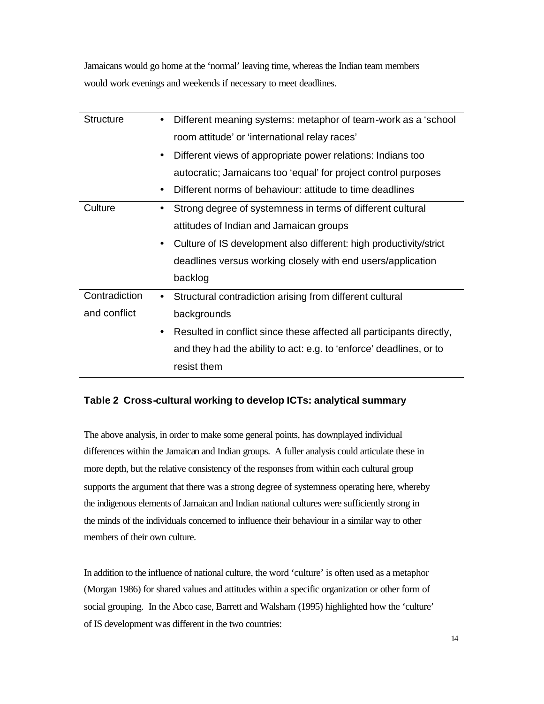Jamaicans would go home at the 'normal' leaving time, whereas the Indian team members would work evenings and weekends if necessary to meet deadlines.

| <b>Structure</b> | Different meaning systems: metaphor of team-work as a 'school<br>$\bullet$        |
|------------------|-----------------------------------------------------------------------------------|
|                  | room attitude' or 'international relay races'                                     |
|                  | Different views of appropriate power relations: Indians too<br>$\bullet$          |
|                  | autocratic; Jamaicans too 'equal' for project control purposes                    |
|                  | Different norms of behaviour: attitude to time deadlines<br>$\bullet$             |
| Culture          | Strong degree of systemness in terms of different cultural<br>$\bullet$           |
|                  | attitudes of Indian and Jamaican groups                                           |
|                  | Culture of IS development also different: high productivity/strict<br>$\bullet$   |
|                  | deadlines versus working closely with end users/application                       |
|                  | backlog                                                                           |
| Contradiction    | Structural contradiction arising from different cultural<br>$\bullet$             |
| and conflict     | backgrounds                                                                       |
|                  | Resulted in conflict since these affected all participants directly,<br>$\bullet$ |
|                  | and they had the ability to act: e.g. to 'enforce' deadlines, or to               |
|                  | resist them                                                                       |

# **Table 2 Cross-cultural working to develop ICTs: analytical summary**

The above analysis, in order to make some general points, has downplayed individual differences within the Jamaican and Indian groups. A fuller analysis could articulate these in more depth, but the relative consistency of the responses from within each cultural group supports the argument that there was a strong degree of systemness operating here, whereby the indigenous elements of Jamaican and Indian national cultures were sufficiently strong in the minds of the individuals concerned to influence their behaviour in a similar way to other members of their own culture.

In addition to the influence of national culture, the word 'culture' is often used as a metaphor (Morgan 1986) for shared values and attitudes within a specific organization or other form of social grouping. In the Abco case, Barrett and Walsham (1995) highlighted how the 'culture' of IS development was different in the two countries: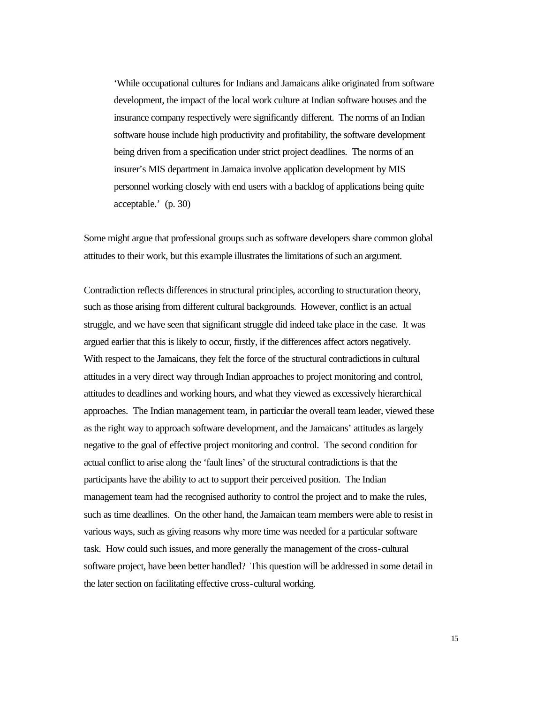'While occupational cultures for Indians and Jamaicans alike originated from software development, the impact of the local work culture at Indian software houses and the insurance company respectively were significantly different. The norms of an Indian software house include high productivity and profitability, the software development being driven from a specification under strict project deadlines. The norms of an insurer's MIS department in Jamaica involve application development by MIS personnel working closely with end users with a backlog of applications being quite acceptable.' (p. 30)

Some might argue that professional groups such as software developers share common global attitudes to their work, but this example illustrates the limitations of such an argument.

Contradiction reflects differences in structural principles, according to structuration theory, such as those arising from different cultural backgrounds. However, conflict is an actual struggle, and we have seen that significant struggle did indeed take place in the case. It was argued earlier that this is likely to occur, firstly, if the differences affect actors negatively. With respect to the Jamaicans, they felt the force of the structural contradictions in cultural attitudes in a very direct way through Indian approaches to project monitoring and control, attitudes to deadlines and working hours, and what they viewed as excessively hierarchical approaches. The Indian management team, in particular the overall team leader, viewed these as the right way to approach software development, and the Jamaicans' attitudes as largely negative to the goal of effective project monitoring and control. The second condition for actual conflict to arise along the 'fault lines' of the structural contradictions is that the participants have the ability to act to support their perceived position. The Indian management team had the recognised authority to control the project and to make the rules, such as time deadlines. On the other hand, the Jamaican team members were able to resist in various ways, such as giving reasons why more time was needed for a particular software task. How could such issues, and more generally the management of the cross-cultural software project, have been better handled? This question will be addressed in some detail in the later section on facilitating effective cross-cultural working.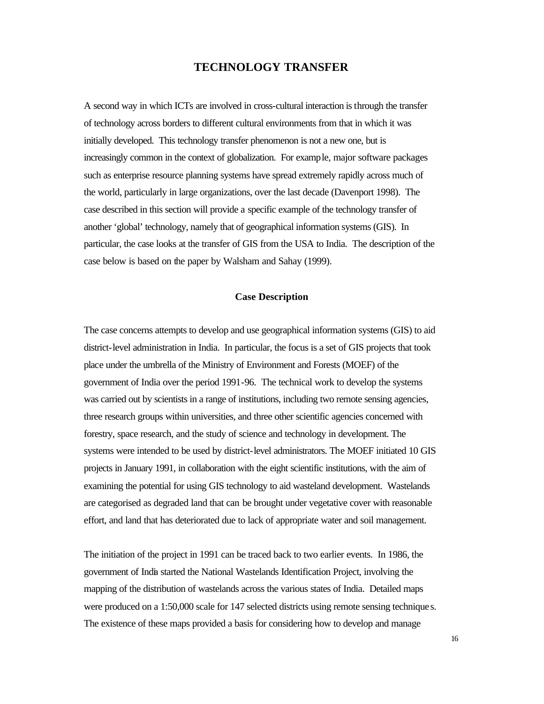# **TECHNOLOGY TRANSFER**

A second way in which ICTs are involved in cross-cultural interaction is through the transfer of technology across borders to different cultural environments from that in which it was initially developed. This technology transfer phenomenon is not a new one, but is increasingly common in the context of globalization. For example, major software packages such as enterprise resource planning systems have spread extremely rapidly across much of the world, particularly in large organizations, over the last decade (Davenport 1998). The case described in this section will provide a specific example of the technology transfer of another 'global' technology, namely that of geographical information systems (GIS). In particular, the case looks at the transfer of GIS from the USA to India. The description of the case below is based on the paper by Walsham and Sahay (1999).

#### **Case Description**

The case concerns attempts to develop and use geographical information systems (GIS) to aid district-level administration in India. In particular, the focus is a set of GIS projects that took place under the umbrella of the Ministry of Environment and Forests (MOEF) of the government of India over the period 1991-96. The technical work to develop the systems was carried out by scientists in a range of institutions, including two remote sensing agencies, three research groups within universities, and three other scientific agencies concerned with forestry, space research, and the study of science and technology in development. The systems were intended to be used by district-level administrators. The MOEF initiated 10 GIS projects in January 1991, in collaboration with the eight scientific institutions, with the aim of examining the potential for using GIS technology to aid wasteland development. Wastelands are categorised as degraded land that can be brought under vegetative cover with reasonable effort, and land that has deteriorated due to lack of appropriate water and soil management.

The initiation of the project in 1991 can be traced back to two earlier events. In 1986, the government of India started the National Wastelands Identification Project, involving the mapping of the distribution of wastelands across the various states of India. Detailed maps were produced on a 1:50,000 scale for 147 selected districts using remote sensing techniques. The existence of these maps provided a basis for considering how to develop and manage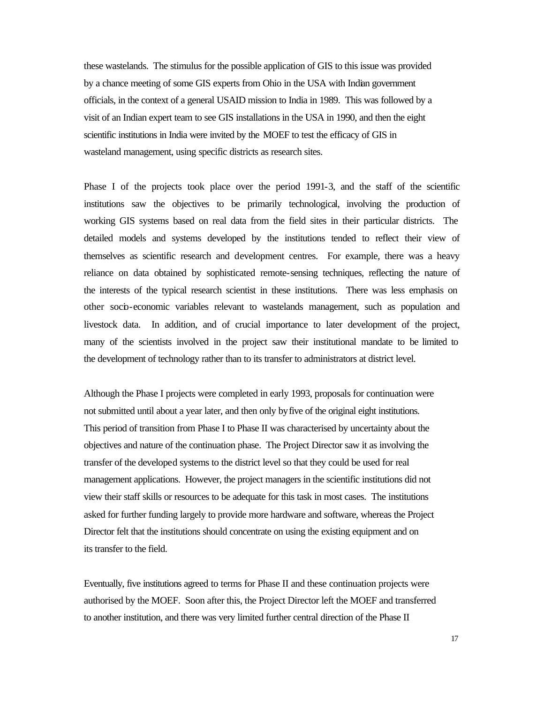these wastelands. The stimulus for the possible application of GIS to this issue was provided by a chance meeting of some GIS experts from Ohio in the USA with Indian government officials, in the context of a general USAID mission to India in 1989. This was followed by a visit of an Indian expert team to see GIS installations in the USA in 1990, and then the eight scientific institutions in India were invited by the MOEF to test the efficacy of GIS in wasteland management, using specific districts as research sites.

Phase I of the projects took place over the period 1991-3, and the staff of the scientific institutions saw the objectives to be primarily technological, involving the production of working GIS systems based on real data from the field sites in their particular districts. The detailed models and systems developed by the institutions tended to reflect their view of themselves as scientific research and development centres. For example, there was a heavy reliance on data obtained by sophisticated remote-sensing techniques, reflecting the nature of the interests of the typical research scientist in these institutions. There was less emphasis on other socio-economic variables relevant to wastelands management, such as population and livestock data. In addition, and of crucial importance to later development of the project, many of the scientists involved in the project saw their institutional mandate to be limited to the development of technology rather than to its transfer to administrators at district level.

Although the Phase I projects were completed in early 1993, proposals for continuation were not submitted until about a year later, and then only by five of the original eight institutions. This period of transition from Phase I to Phase II was characterised by uncertainty about the objectives and nature of the continuation phase. The Project Director saw it as involving the transfer of the developed systems to the district level so that they could be used for real management applications. However, the project managers in the scientific institutions did not view their staff skills or resources to be adequate for this task in most cases. The institutions asked for further funding largely to provide more hardware and software, whereas the Project Director felt that the institutions should concentrate on using the existing equipment and on its transfer to the field.

Eventually, five institutions agreed to terms for Phase II and these continuation projects were authorised by the MOEF. Soon after this, the Project Director left the MOEF and transferred to another institution, and there was very limited further central direction of the Phase II

17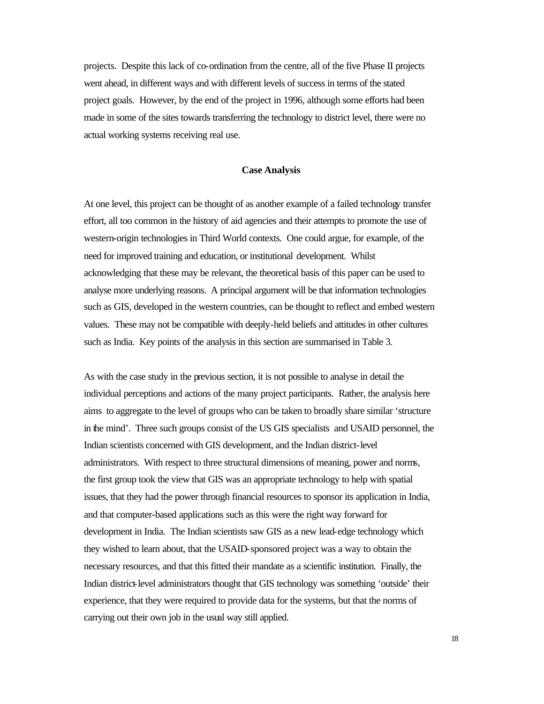projects. Despite this lack of co-ordination from the centre, all of the five Phase II projects went ahead, in different ways and with different levels of success in terms of the stated project goals. However, by the end of the project in 1996, although some efforts had been made in some of the sites towards transferring the technology to district level, there were no actual working systems receiving real use.

#### **Case Analysis**

At one level, this project can be thought of as another example of a failed technology transfer effort, all too common in the history of aid agencies and their attempts to promote the use of western-origin technologies in Third World contexts. One could argue, for example, of the need for improved training and education, or institutional development. Whilst acknowledging that these may be relevant, the theoretical basis of this paper can be used to analyse more underlying reasons. A principal argument will be that information technologies such as GIS, developed in the western countries, can be thought to reflect and embed western values. These may not be compatible with deeply-held beliefs and attitudes in other cultures such as India. Key points of the analysis in this section are summarised in Table 3.

As with the case study in the previous section, it is not possible to analyse in detail the individual perceptions and actions of the many project participants. Rather, the analysis here aims to aggregate to the level of groups who can be taken to broadly share similar 'structure in the mind'. Three such groups consist of the US GIS specialists and USAID personnel, the Indian scientists concerned with GIS development, and the Indian district-level administrators. With respect to three structural dimensions of meaning, power and norms, the first group took the view that GIS was an appropriate technology to help with spatial issues, that they had the power through financial resources to sponsor its application in India, and that computer-based applications such as this were the right way forward for development in India. The Indian scientists saw GIS as a new lead-edge technology which they wished to learn about, that the USAID-sponsored project was a way to obtain the necessary resources, and that this fitted their mandate as a scientific institution. Finally, the Indian district-level administrators thought that GIS technology was something 'outside' their experience, that they were required to provide data for the systems, but that the norms of carrying out their own job in the usual way still applied.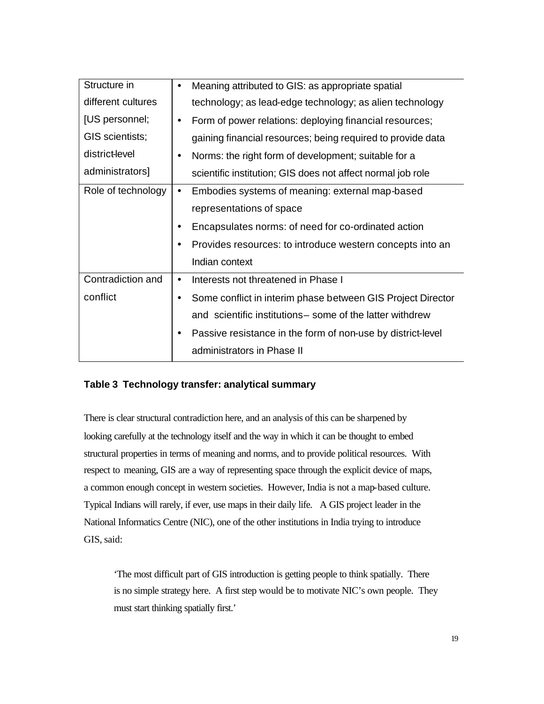| Structure in       | Meaning attributed to GIS: as appropriate spatial<br>$\bullet$           |
|--------------------|--------------------------------------------------------------------------|
| different cultures | technology; as lead-edge technology; as alien technology                 |
| [US personnel;     | Form of power relations: deploying financial resources;<br>$\bullet$     |
| GIS scientists;    | gaining financial resources; being required to provide data              |
| district-level     | Norms: the right form of development; suitable for a<br>$\bullet$        |
| administrators]    | scientific institution; GIS does not affect normal job role              |
| Role of technology | Embodies systems of meaning: external map-based<br>$\bullet$             |
|                    | representations of space                                                 |
|                    | Encapsulates norms: of need for co-ordinated action                      |
|                    | Provides resources: to introduce western concepts into an<br>$\bullet$   |
|                    | Indian context                                                           |
| Contradiction and  | Interests not threatened in Phase I<br>$\bullet$                         |
| conflict           | Some conflict in interim phase between GIS Project Director<br>$\bullet$ |
|                    | and scientific institutions – some of the latter withdrew                |
|                    | Passive resistance in the form of non-use by district-level<br>$\bullet$ |
|                    | administrators in Phase II                                               |

# **Table 3 Technology transfer: analytical summary**

There is clear structural contradiction here, and an analysis of this can be sharpened by looking carefully at the technology itself and the way in which it can be thought to embed structural properties in terms of meaning and norms, and to provide political resources. With respect to meaning, GIS are a way of representing space through the explicit device of maps, a common enough concept in western societies. However, India is not a map-based culture. Typical Indians will rarely, if ever, use maps in their daily life. A GIS project leader in the National Informatics Centre (NIC), one of the other institutions in India trying to introduce GIS, said:

'The most difficult part of GIS introduction is getting people to think spatially. There is no simple strategy here. A first step would be to motivate NIC's own people. They must start thinking spatially first.'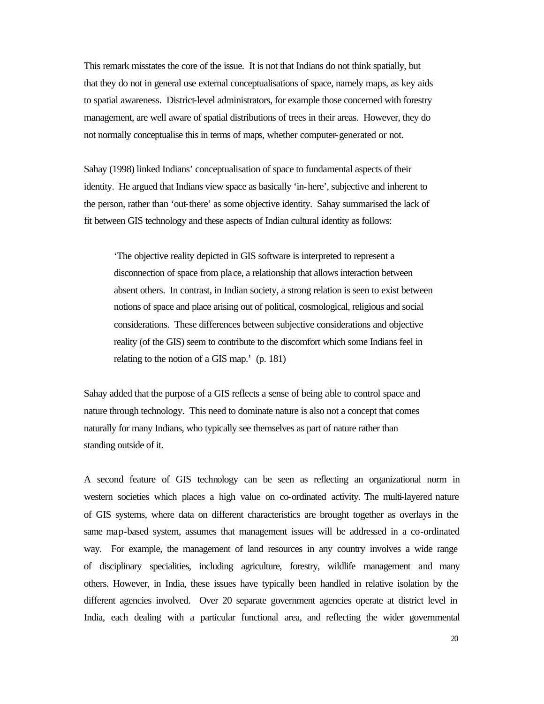This remark misstates the core of the issue. It is not that Indians do not think spatially, but that they do not in general use external conceptualisations of space, namely maps, as key aids to spatial awareness. District-level administrators, for example those concerned with forestry management, are well aware of spatial distributions of trees in their areas. However, they do not normally conceptualise this in terms of maps, whether computer-generated or not.

Sahay (1998) linked Indians' conceptualisation of space to fundamental aspects of their identity. He argued that Indians view space as basically 'in-here', subjective and inherent to the person, rather than 'out-there' as some objective identity. Sahay summarised the lack of fit between GIS technology and these aspects of Indian cultural identity as follows:

'The objective reality depicted in GIS software is interpreted to represent a disconnection of space from place, a relationship that allows interaction between absent others. In contrast, in Indian society, a strong relation is seen to exist between notions of space and place arising out of political, cosmological, religious and social considerations. These differences between subjective considerations and objective reality (of the GIS) seem to contribute to the discomfort which some Indians feel in relating to the notion of a GIS map.' (p. 181)

Sahay added that the purpose of a GIS reflects a sense of being able to control space and nature through technology. This need to dominate nature is also not a concept that comes naturally for many Indians, who typically see themselves as part of nature rather than standing outside of it.

A second feature of GIS technology can be seen as reflecting an organizational norm in western societies which places a high value on co-ordinated activity. The multi-layered nature of GIS systems, where data on different characteristics are brought together as overlays in the same map-based system, assumes that management issues will be addressed in a co-ordinated way. For example, the management of land resources in any country involves a wide range of disciplinary specialities, including agriculture, forestry, wildlife management and many others. However, in India, these issues have typically been handled in relative isolation by the different agencies involved. Over 20 separate government agencies operate at district level in India, each dealing with a particular functional area, and reflecting the wider governmental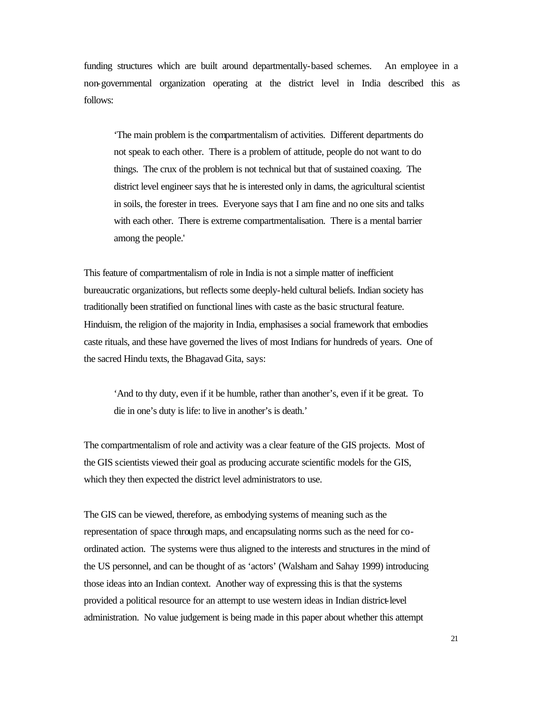funding structures which are built around departmentally-based schemes. An employee in a non-governmental organization operating at the district level in India described this as follows:

'The main problem is the compartmentalism of activities. Different departments do not speak to each other. There is a problem of attitude, people do not want to do things. The crux of the problem is not technical but that of sustained coaxing. The district level engineer says that he is interested only in dams, the agricultural scientist in soils, the forester in trees. Everyone says that I am fine and no one sits and talks with each other. There is extreme compartmentalisation. There is a mental barrier among the people.'

This feature of compartmentalism of role in India is not a simple matter of inefficient bureaucratic organizations, but reflects some deeply-held cultural beliefs. Indian society has traditionally been stratified on functional lines with caste as the basic structural feature. Hinduism, the religion of the majority in India, emphasises a social framework that embodies caste rituals, and these have governed the lives of most Indians for hundreds of years. One of the sacred Hindu texts, the Bhagavad Gita, says:

'And to thy duty, even if it be humble, rather than another's, even if it be great. To die in one's duty is life: to live in another's is death.'

The compartmentalism of role and activity was a clear feature of the GIS projects. Most of the GIS scientists viewed their goal as producing accurate scientific models for the GIS, which they then expected the district level administrators to use.

The GIS can be viewed, therefore, as embodying systems of meaning such as the representation of space through maps, and encapsulating norms such as the need for coordinated action. The systems were thus aligned to the interests and structures in the mind of the US personnel, and can be thought of as 'actors' (Walsham and Sahay 1999) introducing those ideas into an Indian context. Another way of expressing this is that the systems provided a political resource for an attempt to use western ideas in Indian district-level administration. No value judgement is being made in this paper about whether this attempt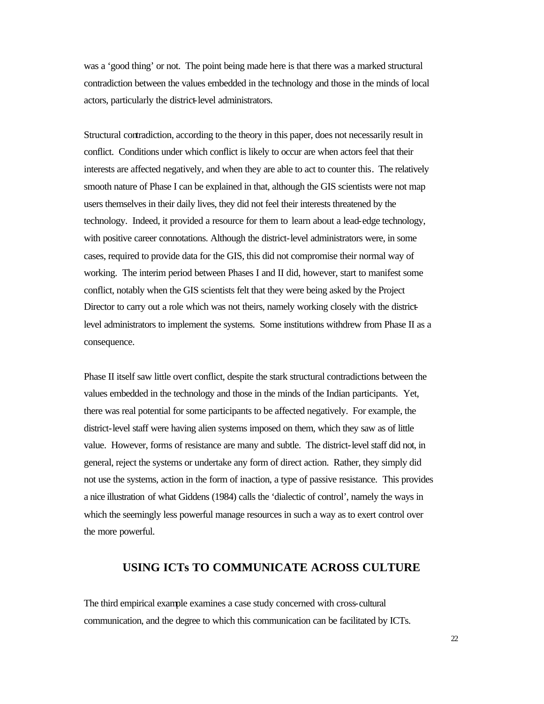was a 'good thing' or not. The point being made here is that there was a marked structural contradiction between the values embedded in the technology and those in the minds of local actors, particularly the district-level administrators.

Structural contradiction, according to the theory in this paper, does not necessarily result in conflict. Conditions under which conflict is likely to occur are when actors feel that their interests are affected negatively, and when they are able to act to counter this. The relatively smooth nature of Phase I can be explained in that, although the GIS scientists were not map users themselves in their daily lives, they did not feel their interests threatened by the technology. Indeed, it provided a resource for them to learn about a lead-edge technology, with positive career connotations. Although the district-level administrators were, in some cases, required to provide data for the GIS, this did not compromise their normal way of working. The interim period between Phases I and II did, however, start to manifest some conflict, notably when the GIS scientists felt that they were being asked by the Project Director to carry out a role which was not theirs, namely working closely with the districtlevel administrators to implement the systems. Some institutions withdrew from Phase II as a consequence.

Phase II itself saw little overt conflict, despite the stark structural contradictions between the values embedded in the technology and those in the minds of the Indian participants. Yet, there was real potential for some participants to be affected negatively. For example, the district-level staff were having alien systems imposed on them, which they saw as of little value. However, forms of resistance are many and subtle. The district-level staff did not, in general, reject the systems or undertake any form of direct action. Rather, they simply did not use the systems, action in the form of inaction, a type of passive resistance. This provides a nice illustration of what Giddens (1984) calls the 'dialectic of control', namely the ways in which the seemingly less powerful manage resources in such a way as to exert control over the more powerful.

# **USING ICTs TO COMMUNICATE ACROSS CULTURE**

The third empirical example examines a case study concerned with cross-cultural communication, and the degree to which this communication can be facilitated by ICTs.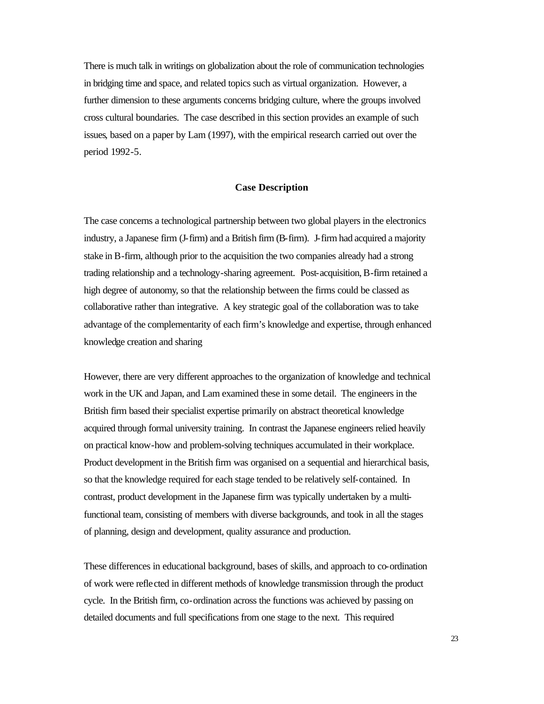There is much talk in writings on globalization about the role of communication technologies in bridging time and space, and related topics such as virtual organization. However, a further dimension to these arguments concerns bridging culture, where the groups involved cross cultural boundaries. The case described in this section provides an example of such issues, based on a paper by Lam (1997), with the empirical research carried out over the period 1992-5.

#### **Case Description**

The case concerns a technological partnership between two global players in the electronics industry, a Japanese firm (J-firm) and a British firm (B-firm). J-firm had acquired a majority stake in B-firm, although prior to the acquisition the two companies already had a strong trading relationship and a technology-sharing agreement. Post-acquisition, B-firm retained a high degree of autonomy, so that the relationship between the firms could be classed as collaborative rather than integrative. A key strategic goal of the collaboration was to take advantage of the complementarity of each firm's knowledge and expertise, through enhanced knowledge creation and sharing

However, there are very different approaches to the organization of knowledge and technical work in the UK and Japan, and Lam examined these in some detail. The engineers in the British firm based their specialist expertise primarily on abstract theoretical knowledge acquired through formal university training. In contrast the Japanese engineers relied heavily on practical know-how and problem-solving techniques accumulated in their workplace. Product development in the British firm was organised on a sequential and hierarchical basis, so that the knowledge required for each stage tended to be relatively self-contained. In contrast, product development in the Japanese firm was typically undertaken by a multifunctional team, consisting of members with diverse backgrounds, and took in all the stages of planning, design and development, quality assurance and production.

These differences in educational background, bases of skills, and approach to co-ordination of work were reflected in different methods of knowledge transmission through the product cycle. In the British firm, co-ordination across the functions was achieved by passing on detailed documents and full specifications from one stage to the next. This required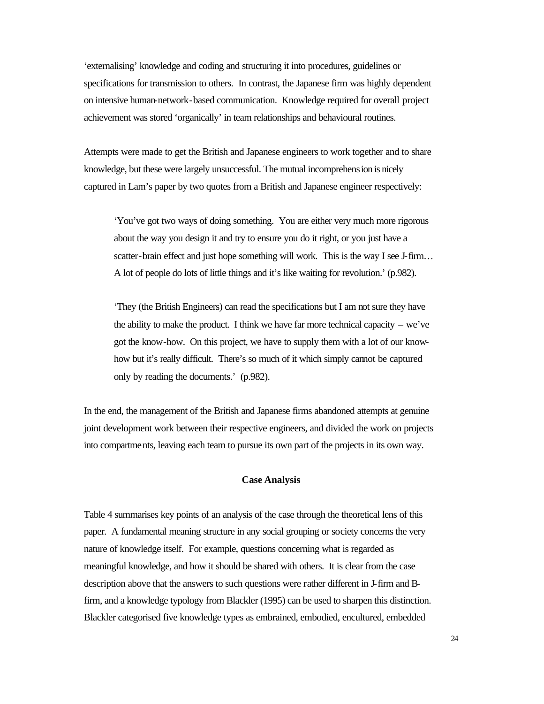'externalising' knowledge and coding and structuring it into procedures, guidelines or specifications for transmission to others. In contrast, the Japanese firm was highly dependent on intensive human-network-based communication. Knowledge required for overall project achievement was stored 'organically' in team relationships and behavioural routines.

Attempts were made to get the British and Japanese engineers to work together and to share knowledge, but these were largely unsuccessful. The mutual incomprehension is nicely captured in Lam's paper by two quotes from a British and Japanese engineer respectively:

'You've got two ways of doing something. You are either very much more rigorous about the way you design it and try to ensure you do it right, or you just have a scatter-brain effect and just hope something will work. This is the way I see J-firm... A lot of people do lots of little things and it's like waiting for revolution.' (p.982).

'They (the British Engineers) can read the specifications but I am not sure they have the ability to make the product. I think we have far more technical capacity  $-$  we've got the know-how. On this project, we have to supply them with a lot of our knowhow but it's really difficult. There's so much of it which simply cannot be captured only by reading the documents.' (p.982).

In the end, the management of the British and Japanese firms abandoned attempts at genuine joint development work between their respective engineers, and divided the work on projects into compartments, leaving each team to pursue its own part of the projects in its own way.

#### **Case Analysis**

Table 4 summarises key points of an analysis of the case through the theoretical lens of this paper. A fundamental meaning structure in any social grouping or society concerns the very nature of knowledge itself. For example, questions concerning what is regarded as meaningful knowledge, and how it should be shared with others. It is clear from the case description above that the answers to such questions were rather different in J-firm and Bfirm, and a knowledge typology from Blackler (1995) can be used to sharpen this distinction. Blackler categorised five knowledge types as embrained, embodied, encultured, embedded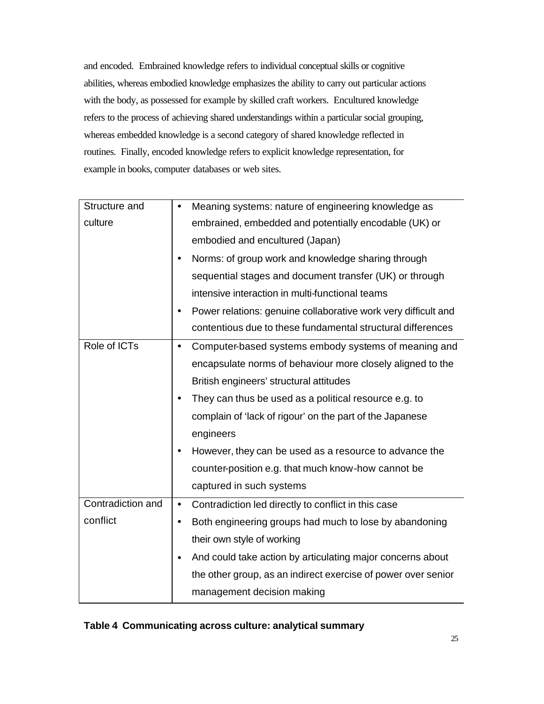and encoded. Embrained knowledge refers to individual conceptual skills or cognitive abilities, whereas embodied knowledge emphasizes the ability to carry out particular actions with the body, as possessed for example by skilled craft workers. Encultured knowledge refers to the process of achieving shared understandings within a particular social grouping, whereas embedded knowledge is a second category of shared knowledge reflected in routines. Finally, encoded knowledge refers to explicit knowledge representation, for example in books, computer databases or web sites.

| Structure and     | $\bullet$ | Meaning systems: nature of engineering knowledge as            |
|-------------------|-----------|----------------------------------------------------------------|
| culture           |           | embrained, embedded and potentially encodable (UK) or          |
|                   |           | embodied and encultured (Japan)                                |
|                   | $\bullet$ | Norms: of group work and knowledge sharing through             |
|                   |           | sequential stages and document transfer (UK) or through        |
|                   |           | intensive interaction in multi-functional teams                |
|                   | $\bullet$ | Power relations: genuine collaborative work very difficult and |
|                   |           | contentious due to these fundamental structural differences    |
| Role of ICTs      | $\bullet$ | Computer-based systems embody systems of meaning and           |
|                   |           | encapsulate norms of behaviour more closely aligned to the     |
|                   |           | British engineers' structural attitudes                        |
|                   |           | They can thus be used as a political resource e.g. to          |
|                   |           | complain of 'lack of rigour' on the part of the Japanese       |
|                   |           | engineers                                                      |
|                   | ٠         | However, they can be used as a resource to advance the         |
|                   |           | counter-position e.g. that much know-how cannot be             |
|                   |           | captured in such systems                                       |
| Contradiction and | $\bullet$ | Contradiction led directly to conflict in this case            |
| conflict          | $\bullet$ | Both engineering groups had much to lose by abandoning         |
|                   |           | their own style of working                                     |
|                   | $\bullet$ | And could take action by articulating major concerns about     |
|                   |           | the other group, as an indirect exercise of power over senior  |
|                   |           | management decision making                                     |

# **Table 4 Communicating across culture: analytical summary**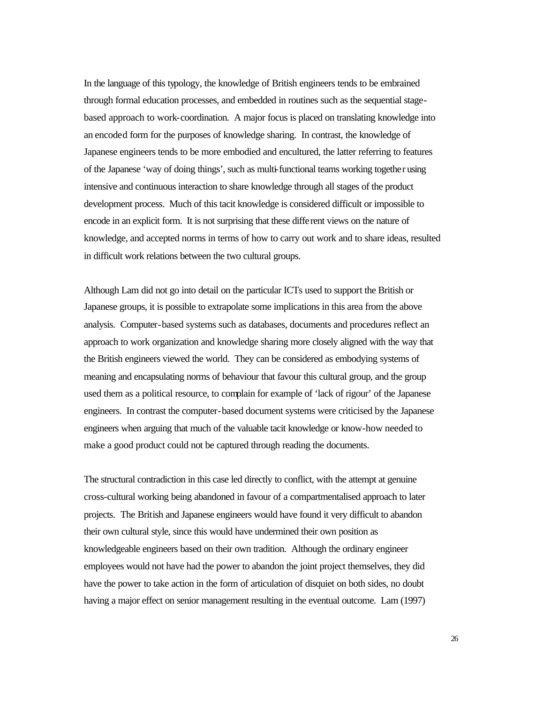In the language of this typology, the knowledge of British engineers tends to be embrained through formal education processes, and embedded in routines such as the sequential stagebased approach to work-coordination. A major focus is placed on translating knowledge into an encoded form for the purposes of knowledge sharing. In contrast, the knowledge of Japanese engineers tends to be more embodied and encultured, the latter referring to features of the Japanese 'way of doing things', such as multi-functional teams working together using intensive and continuous interaction to share knowledge through all stages of the product development process. Much of this tacit knowledge is considered difficult or impossible to encode in an explicit form. It is not surprising that these different views on the nature of knowledge, and accepted norms in terms of how to carry out work and to share ideas, resulted in difficult work relations between the two cultural groups.

Although Lam did not go into detail on the particular ICTs used to support the British or Japanese groups, it is possible to extrapolate some implications in this area from the above analysis. Computer-based systems such as databases, documents and procedures reflect an approach to work organization and knowledge sharing more closely aligned with the way that the British engineers viewed the world. They can be considered as embodying systems of meaning and encapsulating norms of behaviour that favour this cultural group, and the group used them as a political resource, to complain for example of 'lack of rigour' of the Japanese engineers. In contrast the computer-based document systems were criticised by the Japanese engineers when arguing that much of the valuable tacit knowledge or know-how needed to make a good product could not be captured through reading the documents.

The structural contradiction in this case led directly to conflict, with the attempt at genuine cross-cultural working being abandoned in favour of a compartmentalised approach to later projects. The British and Japanese engineers would have found it very difficult to abandon their own cultural style, since this would have undermined their own position as knowledgeable engineers based on their own tradition. Although the ordinary engineer employees would not have had the power to abandon the joint project themselves, they did have the power to take action in the form of articulation of disquiet on both sides, no doubt having a major effect on senior management resulting in the eventual outcome. Lam (1997)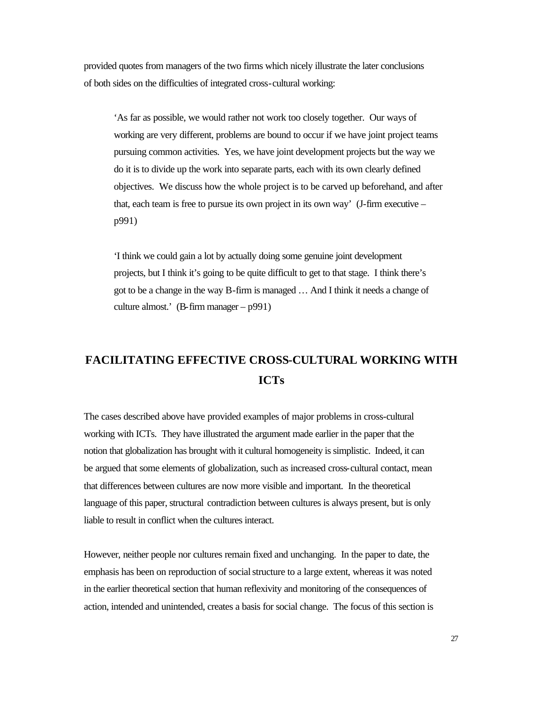provided quotes from managers of the two firms which nicely illustrate the later conclusions of both sides on the difficulties of integrated cross-cultural working:

'As far as possible, we would rather not work too closely together. Our ways of working are very different, problems are bound to occur if we have joint project teams pursuing common activities. Yes, we have joint development projects but the way we do it is to divide up the work into separate parts, each with its own clearly defined objectives. We discuss how the whole project is to be carved up beforehand, and after that, each team is free to pursue its own project in its own way' (J-firm executive – p991)

'I think we could gain a lot by actually doing some genuine joint development projects, but I think it's going to be quite difficult to get to that stage. I think there's got to be a change in the way B-firm is managed … And I think it needs a change of culture almost.' (B-firm manager – p991)

# **FACILITATING EFFECTIVE CROSS-CULTURAL WORKING WITH ICTs**

The cases described above have provided examples of major problems in cross-cultural working with ICTs. They have illustrated the argument made earlier in the paper that the notion that globalization has brought with it cultural homogeneity is simplistic. Indeed, it can be argued that some elements of globalization, such as increased cross-cultural contact, mean that differences between cultures are now more visible and important. In the theoretical language of this paper, structural contradiction between cultures is always present, but is only liable to result in conflict when the cultures interact.

However, neither people nor cultures remain fixed and unchanging. In the paper to date, the emphasis has been on reproduction of social structure to a large extent, whereas it was noted in the earlier theoretical section that human reflexivity and monitoring of the consequences of action, intended and unintended, creates a basis for social change. The focus of this section is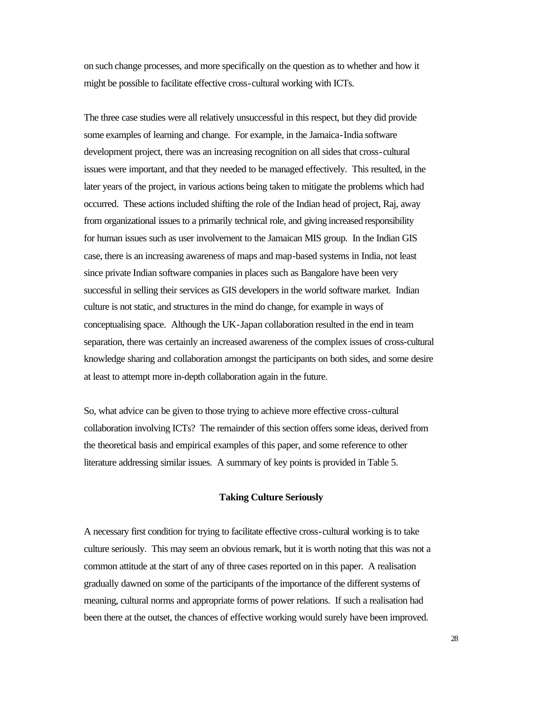on such change processes, and more specifically on the question as to whether and how it might be possible to facilitate effective cross-cultural working with ICTs.

The three case studies were all relatively unsuccessful in this respect, but they did provide some examples of learning and change. For example, in the Jamaica-India software development project, there was an increasing recognition on all sides that cross-cultural issues were important, and that they needed to be managed effectively. This resulted, in the later years of the project, in various actions being taken to mitigate the problems which had occurred. These actions included shifting the role of the Indian head of project, Raj, away from organizational issues to a primarily technical role, and giving increased responsibility for human issues such as user involvement to the Jamaican MIS group. In the Indian GIS case, there is an increasing awareness of maps and map-based systems in India, not least since private Indian software companies in places such as Bangalore have been very successful in selling their services as GIS developers in the world software market. Indian culture is not static, and structures in the mind do change, for example in ways of conceptualising space. Although the UK-Japan collaboration resulted in the end in team separation, there was certainly an increased awareness of the complex issues of cross-cultural knowledge sharing and collaboration amongst the participants on both sides, and some desire at least to attempt more in-depth collaboration again in the future.

So, what advice can be given to those trying to achieve more effective cross-cultural collaboration involving ICTs? The remainder of this section offers some ideas, derived from the theoretical basis and empirical examples of this paper, and some reference to other literature addressing similar issues. A summary of key points is provided in Table 5.

#### **Taking Culture Seriously**

A necessary first condition for trying to facilitate effective cross-cultural working is to take culture seriously. This may seem an obvious remark, but it is worth noting that this was not a common attitude at the start of any of three cases reported on in this paper. A realisation gradually dawned on some of the participants of the importance of the different systems of meaning, cultural norms and appropriate forms of power relations. If such a realisation had been there at the outset, the chances of effective working would surely have been improved.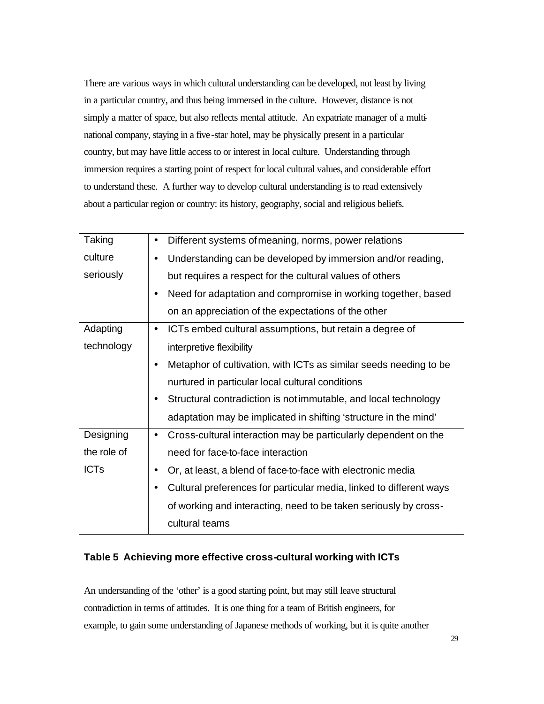There are various ways in which cultural understanding can be developed, not least by living in a particular country, and thus being immersed in the culture. However, distance is not simply a matter of space, but also reflects mental attitude. An expatriate manager of a multinational company, staying in a five-star hotel, may be physically present in a particular country, but may have little access to or interest in local culture. Understanding through immersion requires a starting point of respect for local cultural values, and considerable effort to understand these. A further way to develop cultural understanding is to read extensively about a particular region or country: its history, geography, social and religious beliefs.

| Taking      | Different systems of meaning, norms, power relations<br>$\bullet$            |
|-------------|------------------------------------------------------------------------------|
| culture     | Understanding can be developed by immersion and/or reading,                  |
| seriously   | but requires a respect for the cultural values of others                     |
|             | Need for adaptation and compromise in working together, based                |
|             | on an appreciation of the expectations of the other                          |
| Adapting    | ICTs embed cultural assumptions, but retain a degree of<br>$\bullet$         |
| technology  | interpretive flexibility                                                     |
|             | Metaphor of cultivation, with ICTs as similar seeds needing to be            |
|             | nurtured in particular local cultural conditions                             |
|             | Structural contradiction is not immutable, and local technology              |
|             | adaptation may be implicated in shifting 'structure in the mind'             |
| Designing   | Cross-cultural interaction may be particularly dependent on the<br>$\bullet$ |
| the role of | need for face-to-face interaction                                            |
| <b>ICTs</b> | Or, at least, a blend of face-to-face with electronic media                  |
|             | Cultural preferences for particular media, linked to different ways          |
|             | of working and interacting, need to be taken seriously by cross-             |
|             | cultural teams                                                               |

## **Table 5 Achieving more effective cross-cultural working with ICTs**

An understanding of the 'other' is a good starting point, but may still leave structural contradiction in terms of attitudes. It is one thing for a team of British engineers, for example, to gain some understanding of Japanese methods of working, but it is quite another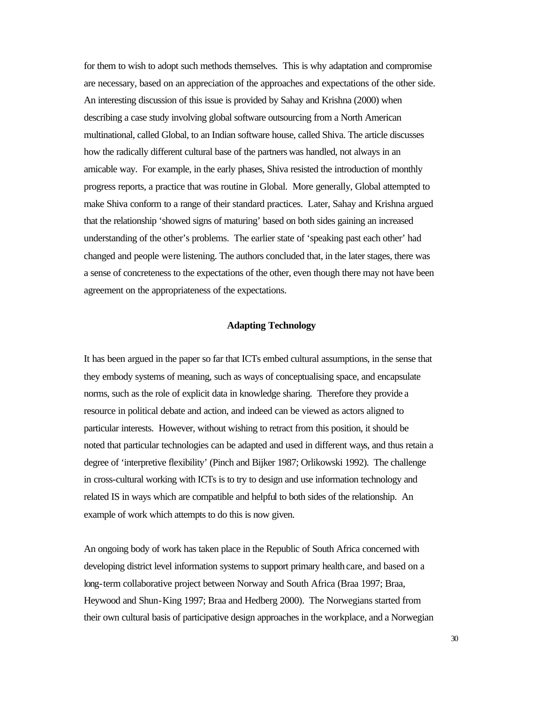for them to wish to adopt such methods themselves. This is why adaptation and compromise are necessary, based on an appreciation of the approaches and expectations of the other side. An interesting discussion of this issue is provided by Sahay and Krishna (2000) when describing a case study involving global software outsourcing from a North American multinational, called Global, to an Indian software house, called Shiva. The article discusses how the radically different cultural base of the partners was handled, not always in an amicable way. For example, in the early phases, Shiva resisted the introduction of monthly progress reports, a practice that was routine in Global. More generally, Global attempted to make Shiva conform to a range of their standard practices. Later, Sahay and Krishna argued that the relationship 'showed signs of maturing' based on both sides gaining an increased understanding of the other's problems. The earlier state of 'speaking past each other' had changed and people were listening. The authors concluded that, in the later stages, there was a sense of concreteness to the expectations of the other, even though there may not have been agreement on the appropriateness of the expectations.

#### **Adapting Technology**

It has been argued in the paper so far that ICTs embed cultural assumptions, in the sense that they embody systems of meaning, such as ways of conceptualising space, and encapsulate norms, such as the role of explicit data in knowledge sharing. Therefore they provide a resource in political debate and action, and indeed can be viewed as actors aligned to particular interests. However, without wishing to retract from this position, it should be noted that particular technologies can be adapted and used in different ways, and thus retain a degree of 'interpretive flexibility' (Pinch and Bijker 1987; Orlikowski 1992). The challenge in cross-cultural working with ICTs is to try to design and use information technology and related IS in ways which are compatible and helpful to both sides of the relationship. An example of work which attempts to do this is now given.

An ongoing body of work has taken place in the Republic of South Africa concerned with developing district level information systems to support primary health care, and based on a long-term collaborative project between Norway and South Africa (Braa 1997; Braa, Heywood and Shun-King 1997; Braa and Hedberg 2000). The Norwegians started from their own cultural basis of participative design approaches in the workplace, and a Norwegian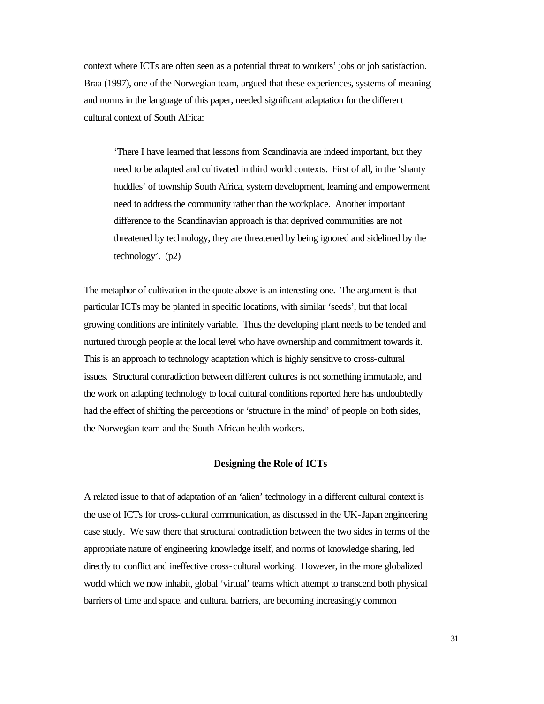context where ICTs are often seen as a potential threat to workers' jobs or job satisfaction. Braa (1997), one of the Norwegian team, argued that these experiences, systems of meaning and norms in the language of this paper, needed significant adaptation for the different cultural context of South Africa:

'There I have learned that lessons from Scandinavia are indeed important, but they need to be adapted and cultivated in third world contexts. First of all, in the 'shanty huddles' of township South Africa, system development, learning and empowerment need to address the community rather than the workplace. Another important difference to the Scandinavian approach is that deprived communities are not threatened by technology, they are threatened by being ignored and sidelined by the technology'. (p2)

The metaphor of cultivation in the quote above is an interesting one. The argument is that particular ICTs may be planted in specific locations, with similar 'seeds', but that local growing conditions are infinitely variable. Thus the developing plant needs to be tended and nurtured through people at the local level who have ownership and commitment towards it. This is an approach to technology adaptation which is highly sensitive to cross-cultural issues. Structural contradiction between different cultures is not something immutable, and the work on adapting technology to local cultural conditions reported here has undoubtedly had the effect of shifting the perceptions or 'structure in the mind' of people on both sides, the Norwegian team and the South African health workers.

#### **Designing the Role of ICTs**

A related issue to that of adaptation of an 'alien' technology in a different cultural context is the use of ICTs for cross-cultural communication, as discussed in the UK-Japan engineering case study. We saw there that structural contradiction between the two sides in terms of the appropriate nature of engineering knowledge itself, and norms of knowledge sharing, led directly to conflict and ineffective cross-cultural working. However, in the more globalized world which we now inhabit, global 'virtual' teams which attempt to transcend both physical barriers of time and space, and cultural barriers, are becoming increasingly common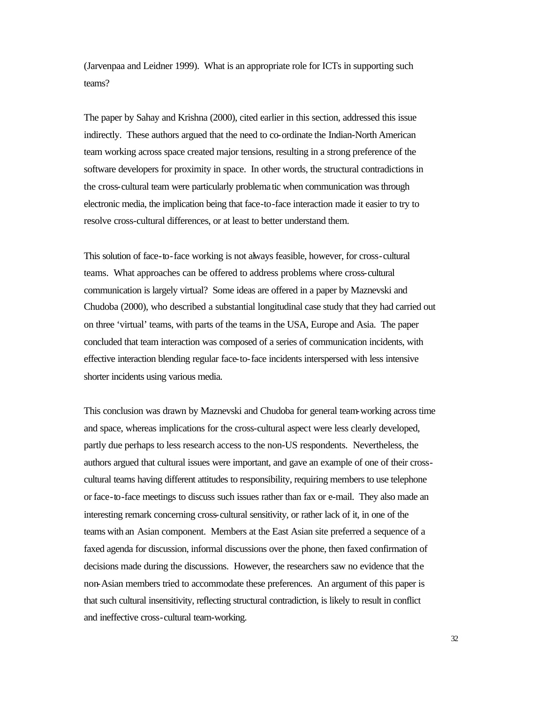(Jarvenpaa and Leidner 1999). What is an appropriate role for ICTs in supporting such teams?

The paper by Sahay and Krishna (2000), cited earlier in this section, addressed this issue indirectly. These authors argued that the need to co-ordinate the Indian-North American team working across space created major tensions, resulting in a strong preference of the software developers for proximity in space. In other words, the structural contradictions in the cross-cultural team were particularly problematic when communication was through electronic media, the implication being that face-to-face interaction made it easier to try to resolve cross-cultural differences, or at least to better understand them.

This solution of face-to-face working is not always feasible, however, for cross-cultural teams. What approaches can be offered to address problems where cross-cultural communication is largely virtual? Some ideas are offered in a paper by Maznevski and Chudoba (2000), who described a substantial longitudinal case study that they had carried out on three 'virtual' teams, with parts of the teams in the USA, Europe and Asia. The paper concluded that team interaction was composed of a series of communication incidents, with effective interaction blending regular face-to-face incidents interspersed with less intensive shorter incidents using various media.

This conclusion was drawn by Maznevski and Chudoba for general team-working across time and space, whereas implications for the cross-cultural aspect were less clearly developed, partly due perhaps to less research access to the non-US respondents. Nevertheless, the authors argued that cultural issues were important, and gave an example of one of their crosscultural teams having different attitudes to responsibility, requiring members to use telephone or face-to-face meetings to discuss such issues rather than fax or e-mail. They also made an interesting remark concerning cross-cultural sensitivity, or rather lack of it, in one of the teams with an Asian component. Members at the East Asian site preferred a sequence of a faxed agenda for discussion, informal discussions over the phone, then faxed confirmation of decisions made during the discussions. However, the researchers saw no evidence that the non-Asian members tried to accommodate these preferences. An argument of this paper is that such cultural insensitivity, reflecting structural contradiction, is likely to result in conflict and ineffective cross-cultural team-working.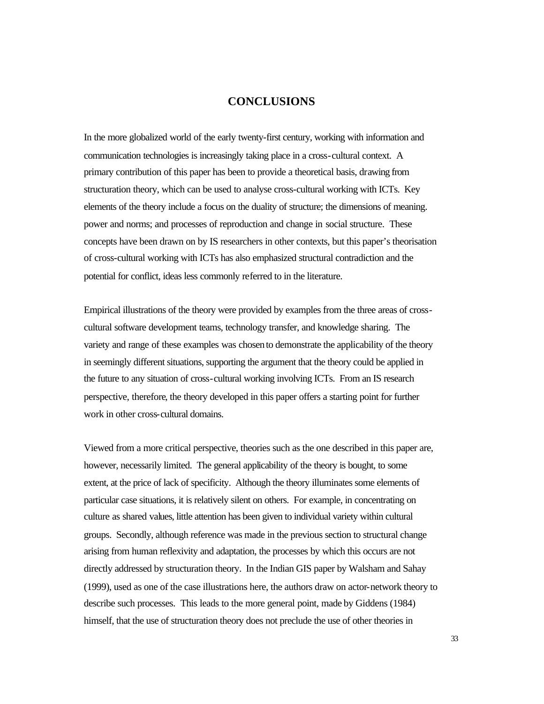## **CONCLUSIONS**

In the more globalized world of the early twenty-first century, working with information and communication technologies is increasingly taking place in a cross-cultural context. A primary contribution of this paper has been to provide a theoretical basis, drawing from structuration theory, which can be used to analyse cross-cultural working with ICTs. Key elements of the theory include a focus on the duality of structure; the dimensions of meaning. power and norms; and processes of reproduction and change in social structure. These concepts have been drawn on by IS researchers in other contexts, but this paper's theorisation of cross-cultural working with ICTs has also emphasized structural contradiction and the potential for conflict, ideas less commonly referred to in the literature.

Empirical illustrations of the theory were provided by examples from the three areas of crosscultural software development teams, technology transfer, and knowledge sharing. The variety and range of these examples was chosen to demonstrate the applicability of the theory in seemingly different situations, supporting the argument that the theory could be applied in the future to any situation of cross-cultural working involving ICTs. From an IS research perspective, therefore, the theory developed in this paper offers a starting point for further work in other cross-cultural domains.

Viewed from a more critical perspective, theories such as the one described in this paper are, however, necessarily limited. The general applicability of the theory is bought, to some extent, at the price of lack of specificity. Although the theory illuminates some elements of particular case situations, it is relatively silent on others. For example, in concentrating on culture as shared values, little attention has been given to individual variety within cultural groups. Secondly, although reference was made in the previous section to structural change arising from human reflexivity and adaptation, the processes by which this occurs are not directly addressed by structuration theory. In the Indian GIS paper by Walsham and Sahay (1999), used as one of the case illustrations here, the authors draw on actor-network theory to describe such processes. This leads to the more general point, made by Giddens (1984) himself, that the use of structuration theory does not preclude the use of other theories in

33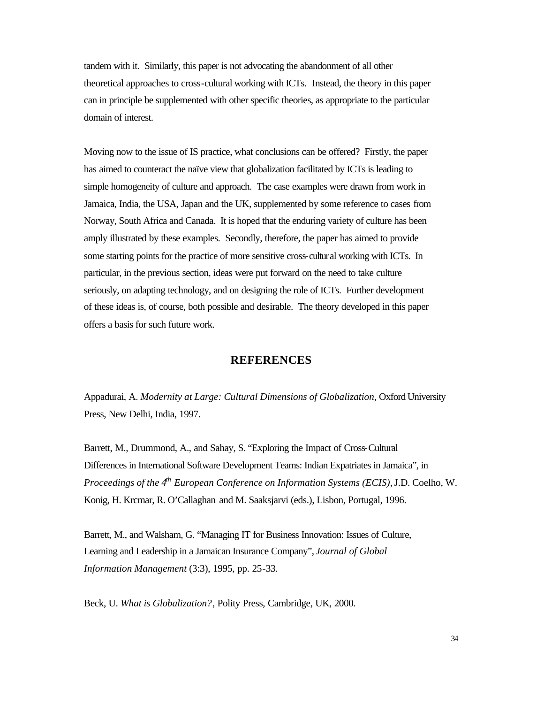tandem with it. Similarly, this paper is not advocating the abandonment of all other theoretical approaches to cross-cultural working with ICTs. Instead, the theory in this paper can in principle be supplemented with other specific theories, as appropriate to the particular domain of interest.

Moving now to the issue of IS practice, what conclusions can be offered? Firstly, the paper has aimed to counteract the naïve view that globalization facilitated by ICTs is leading to simple homogeneity of culture and approach. The case examples were drawn from work in Jamaica, India, the USA, Japan and the UK, supplemented by some reference to cases from Norway, South Africa and Canada. It is hoped that the enduring variety of culture has been amply illustrated by these examples. Secondly, therefore, the paper has aimed to provide some starting points for the practice of more sensitive cross-cultural working with ICTs. In particular, in the previous section, ideas were put forward on the need to take culture seriously, on adapting technology, and on designing the role of ICTs. Further development of these ideas is, of course, both possible and desirable. The theory developed in this paper offers a basis for such future work.

#### **REFERENCES**

Appadurai, A. Modernity at Large: Cultural Dimensions of Globalization, Oxford University Press, New Delhi, India, 1997.

Barrett, M., Drummond, A., and Sahay, S. "Exploring the Impact of Cross-Cultural Differences in International Software Development Teams: Indian Expatriates in Jamaica", in *Proceedings of the 4th European Conference on Information Systems (ECIS),* J.D. Coelho, W. Konig, H. Krcmar, R. O'Callaghan and M. Saaksjarvi (eds.), Lisbon, Portugal, 1996.

Barrett, M., and Walsham, G. "Managing IT for Business Innovation: Issues of Culture, Learning and Leadership in a Jamaican Insurance Company", *Journal of Global Information Management* (3:3), 1995, pp. 25-33.

Beck, U. *What is Globalization?*, Polity Press, Cambridge, UK, 2000.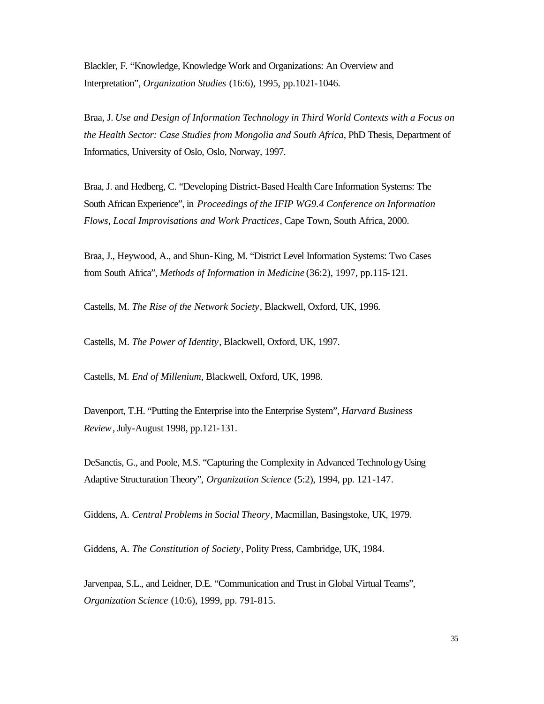Blackler, F. "Knowledge, Knowledge Work and Organizations: An Overview and Interpretation", *Organization Studies* (16:6), 1995, pp.1021-1046.

Braa, J. *Use and Design of Information Technology in Third World Contexts with a Focus on the Health Sector: Case Studies from Mongolia and South Africa*, PhD Thesis, Department of Informatics, University of Oslo, Oslo, Norway, 1997.

Braa, J. and Hedberg, C. "Developing District-Based Health Care Information Systems: The South African Experience", in *Proceedings of the IFIP WG9.4 Conference on Information Flows, Local Improvisations and Work Practices*, Cape Town, South Africa, 2000.

Braa, J., Heywood, A., and Shun-King, M. "District Level Information Systems: Two Cases from South Africa", *Methods of Information in Medicine* (36:2), 1997, pp.115-121.

Castells, M. *The Rise of the Network Society*, Blackwell, Oxford, UK, 1996.

Castells, M. *The Power of Identity*, Blackwell, Oxford, UK, 1997.

Castells, M. *End of Millenium*, Blackwell, Oxford, UK, 1998.

Davenport, T.H. "Putting the Enterprise into the Enterprise System", *Harvard Business Review*, July-August 1998, pp.121-131.

DeSanctis, G., and Poole, M.S. "Capturing the Complexity in Advanced Technology Using Adaptive Structuration Theory", *Organization Science* (5:2), 1994, pp. 121-147.

Giddens, A. *Central Problems in Social Theory*, Macmillan, Basingstoke, UK, 1979.

Giddens, A. *The Constitution of Society*, Polity Press, Cambridge, UK, 1984.

Jarvenpaa, S.L., and Leidner, D.E. "Communication and Trust in Global Virtual Teams", *Organization Science* (10:6), 1999, pp. 791-815.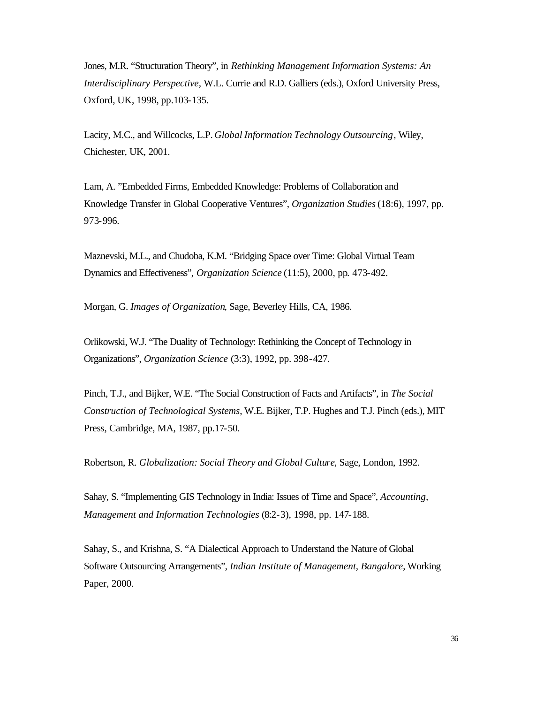Jones, M.R. "Structuration Theory", in *Rethinking Management Information Systems: An Interdisciplinary Perspective,* W.L. Currie and R.D. Galliers (eds.), Oxford University Press, Oxford, UK, 1998, pp.103-135.

Lacity, M.C., and Willcocks, L.P. *Global Information Technology Outsourcing*, Wiley, Chichester, UK, 2001.

Lam, A. "Embedded Firms, Embedded Knowledge: Problems of Collaboration and Knowledge Transfer in Global Cooperative Ventures", *Organization Studies* (18:6), 1997, pp. 973-996.

Maznevski, M.L., and Chudoba, K.M. "Bridging Space over Time: Global Virtual Team Dynamics and Effectiveness", *Organization Science* (11:5), 2000, pp. 473-492.

Morgan, G. *Images of Organization*, Sage, Beverley Hills, CA, 1986.

Orlikowski, W.J. "The Duality of Technology: Rethinking the Concept of Technology in Organizations", *Organization Science* (3:3), 1992, pp. 398-427.

Pinch, T.J., and Bijker, W.E. "The Social Construction of Facts and Artifacts", in *The Social Construction of Technological Systems*, W.E. Bijker, T.P. Hughes and T.J. Pinch (eds.), MIT Press, Cambridge, MA, 1987, pp.17-50.

Robertson, R. *Globalization: Social Theory and Global Culture*, Sage, London, 1992.

Sahay, S. "Implementing GIS Technology in India: Issues of Time and Space", *Accounting, Management and Information Technologies* (8:2-3), 1998, pp. 147-188.

Sahay, S., and Krishna, S. "A Dialectical Approach to Understand the Nature of Global Software Outsourcing Arrangements", *Indian Institute of Management, Bangalore*, Working Paper, 2000.